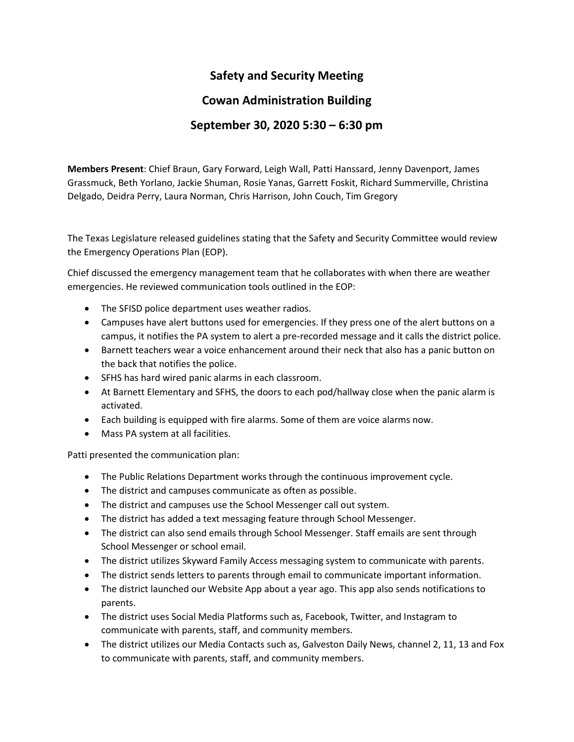## **Safety and Security Meeting**

## **Cowan Administration Building**

## **September 30, 2020 5:30 – 6:30 pm**

**Members Present**: Chief Braun, Gary Forward, Leigh Wall, Patti Hanssard, Jenny Davenport, James Grassmuck, Beth Yorlano, Jackie Shuman, Rosie Yanas, Garrett Foskit, Richard Summerville, Christina Delgado, Deidra Perry, Laura Norman, Chris Harrison, John Couch, Tim Gregory

The Texas Legislature released guidelines stating that the Safety and Security Committee would review the Emergency Operations Plan (EOP).

Chief discussed the emergency management team that he collaborates with when there are weather emergencies. He reviewed communication tools outlined in the EOP:

- The SFISD police department uses weather radios.
- Campuses have alert buttons used for emergencies. If they press one of the alert buttons on a campus, it notifies the PA system to alert a pre-recorded message and it calls the district police.
- Barnett teachers wear a voice enhancement around their neck that also has a panic button on the back that notifies the police.
- SFHS has hard wired panic alarms in each classroom.
- At Barnett Elementary and SFHS, the doors to each pod/hallway close when the panic alarm is activated.
- Each building is equipped with fire alarms. Some of them are voice alarms now.
- Mass PA system at all facilities.

Patti presented the communication plan:

- The Public Relations Department works through the continuous improvement cycle.
- The district and campuses communicate as often as possible.
- The district and campuses use the School Messenger call out system.
- The district has added a text messaging feature through School Messenger.
- The district can also send emails through School Messenger. Staff emails are sent through School Messenger or school email.
- The district utilizes Skyward Family Access messaging system to communicate with parents.
- The district sends letters to parents through email to communicate important information.
- The district launched our Website App about a year ago. This app also sends notifications to parents.
- The district uses Social Media Platforms such as, Facebook, Twitter, and Instagram to communicate with parents, staff, and community members.
- The district utilizes our Media Contacts such as, Galveston Daily News, channel 2, 11, 13 and Fox to communicate with parents, staff, and community members.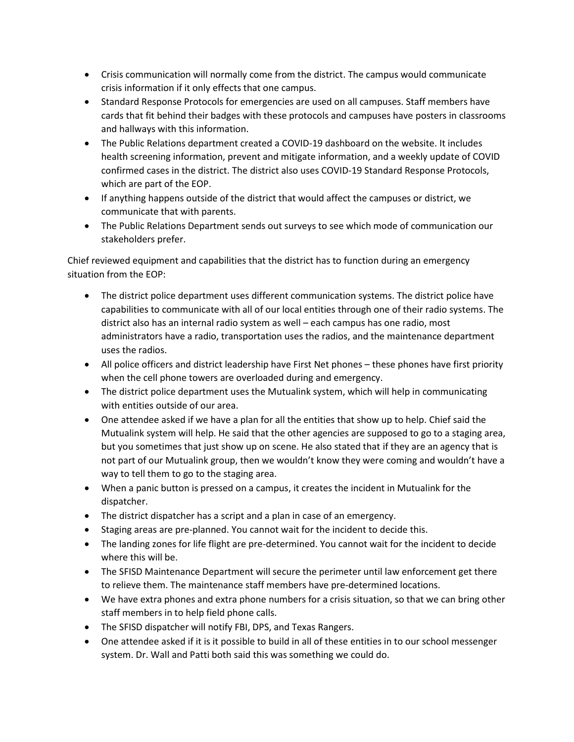- Crisis communication will normally come from the district. The campus would communicate crisis information if it only effects that one campus.
- Standard Response Protocols for emergencies are used on all campuses. Staff members have cards that fit behind their badges with these protocols and campuses have posters in classrooms and hallways with this information.
- The Public Relations department created a COVID-19 dashboard on the website. It includes health screening information, prevent and mitigate information, and a weekly update of COVID confirmed cases in the district. The district also uses COVID-19 Standard Response Protocols, which are part of the EOP.
- If anything happens outside of the district that would affect the campuses or district, we communicate that with parents.
- The Public Relations Department sends out surveys to see which mode of communication our stakeholders prefer.

Chief reviewed equipment and capabilities that the district has to function during an emergency situation from the EOP:

- The district police department uses different communication systems. The district police have capabilities to communicate with all of our local entities through one of their radio systems. The district also has an internal radio system as well – each campus has one radio, most administrators have a radio, transportation uses the radios, and the maintenance department uses the radios.
- All police officers and district leadership have First Net phones these phones have first priority when the cell phone towers are overloaded during and emergency.
- The district police department uses the Mutualink system, which will help in communicating with entities outside of our area.
- One attendee asked if we have a plan for all the entities that show up to help. Chief said the Mutualink system will help. He said that the other agencies are supposed to go to a staging area, but you sometimes that just show up on scene. He also stated that if they are an agency that is not part of our Mutualink group, then we wouldn't know they were coming and wouldn't have a way to tell them to go to the staging area.
- When a panic button is pressed on a campus, it creates the incident in Mutualink for the dispatcher.
- The district dispatcher has a script and a plan in case of an emergency.
- Staging areas are pre-planned. You cannot wait for the incident to decide this.
- The landing zones for life flight are pre-determined. You cannot wait for the incident to decide where this will be.
- The SFISD Maintenance Department will secure the perimeter until law enforcement get there to relieve them. The maintenance staff members have pre-determined locations.
- We have extra phones and extra phone numbers for a crisis situation, so that we can bring other staff members in to help field phone calls.
- The SFISD dispatcher will notify FBI, DPS, and Texas Rangers.
- One attendee asked if it is it possible to build in all of these entities in to our school messenger system. Dr. Wall and Patti both said this was something we could do.